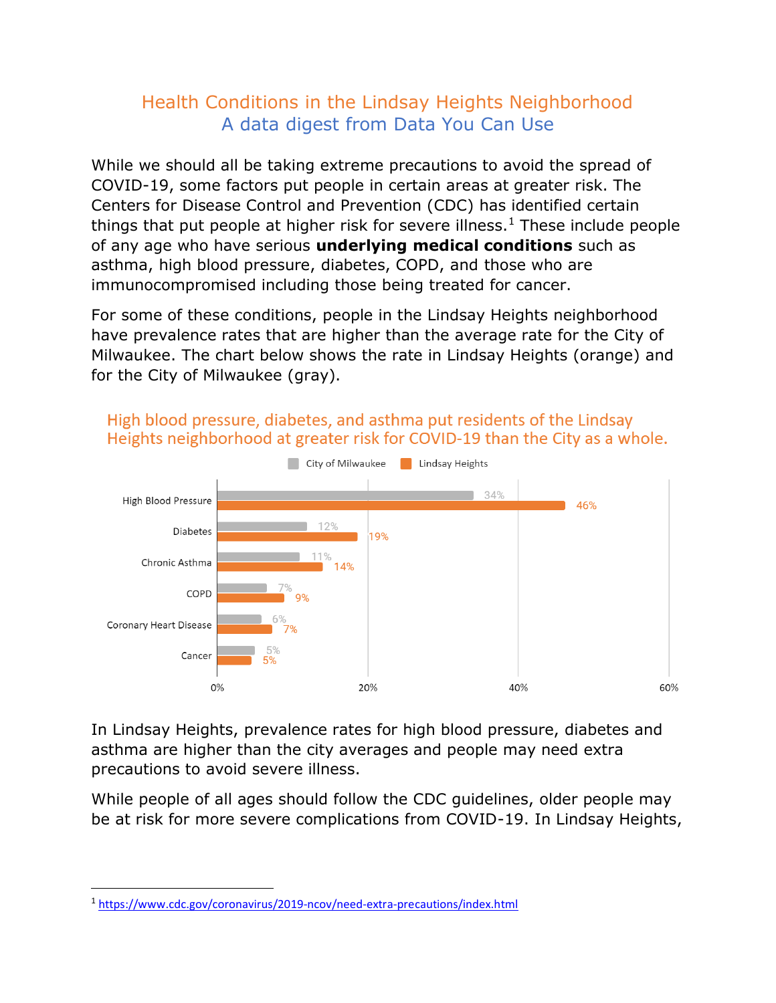## Health Conditions in the Lindsay Heights Neighborhood A data digest from Data You Can Use

While we should all be taking extreme precautions to avoid the spread of COVID-19, some factors put people in certain areas at greater risk. The Centers for Disease Control and Prevention (CDC) has identified certain things that put people at higher risk for severe illness.<sup>1</sup> These include people of any age who have serious **underlying medical conditions** such as asthma, high blood pressure, diabetes, COPD, and those who are immunocompromised including those being treated for cancer.

For some of these conditions, people in the Lindsay Heights neighborhood have prevalence rates that are higher than the average rate for the City of Milwaukee. The chart below shows the rate in Lindsay Heights (orange) and for the City of Milwaukee (gray).



## High blood pressure, diabetes, and asthma put residents of the Lindsay Heights neighborhood at greater risk for COVID-19 than the City as a whole.

In Lindsay Heights, prevalence rates for high blood pressure, diabetes and asthma are higher than the city averages and people may need extra precautions to avoid severe illness.

While people of all ages should follow the CDC guidelines, older people may be at risk for more severe complications from COVID-19. In Lindsay Heights,

<sup>1</sup> <https://www.cdc.gov/coronavirus/2019-ncov/need-extra-precautions/index.html>